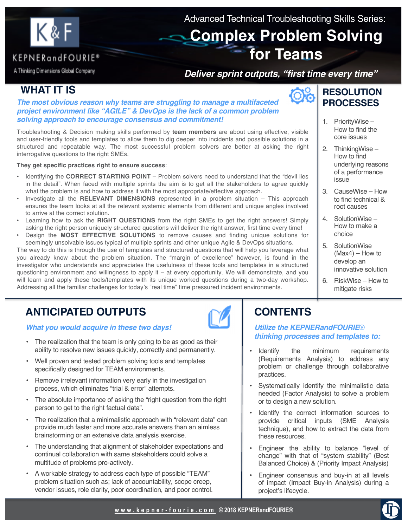

Advanced Technical Troubleshooting Skills Series:

# **Complex Problem Solving for Teams**

### KEPNERandFOURIE® A Thinking Dimensions Global Company

### *Deliver sprint outputs, "first time every time"*

# **WHAT IT IS**

*The most obvious reason why teams are struggling to manage a multifaceted project environment like "AGILE" & DevOps is the lack of a common problem solving approach to encourage consensus and commitment!*

Troubleshooting & Decision making skills performed by **team members** are about using effective, visible and user-friendly tools and templates to allow them to dig deeper into incidents and possible solutions in a structured and repeatable way. The most successful problem solvers are better at asking the right interrogative questions to the right SMEs.

**They get specific practices right to ensure success**:

- Identifying the **CORRECT STARTING POINT** Problem solvers need to understand that the "devil lies in the detail". When faced with multiple sprints the aim is to get all the stakeholders to agree quickly what the problem is and how to address it with the most appropriate/effective approach.
- Investigate all the **RELEVANT DIMENSIONS** represented in a problem situation This approach ensures the team looks at all the relevant systemic elements from different and unique angles involved to arrive at the correct solution.
- Learning how to ask the **RIGHT QUESTIONS** from the right SMEs to get the right answers! Simply asking the right person uniquely structured questions will deliver the right answer, first time every time!
- Design the **MOST EFFECTIVE SOLUTIONS** to remove causes and finding unique solutions for seemingly unsolvable issues typical of multiple sprints and other unique Agile & DevOps situations.

The way to do this is through the use of templates and structured questions that will help you leverage what you already know about the problem situation. The "margin of excellence" however, is found in the investigator who understands and appreciates the usefulness of these tools and templates in a structured questioning environment and willingness to apply it  $-$  at every opportunity. We will demonstrate, and you will learn and apply these tools/templates with its unique worked questions during a two-day workshop. Addressing all the familiar challenges for today's "real time" time pressured incident environments.

# **ANTICIPATED OUTPUTS**

*What you would acquire in these two days!*

- The realization that the team is only going to be as good as their ability to resolve new issues quickly, correctly and permanently.
- Well proven and tested problem solving tools and templates specifically designed for TEAM environments.
- Remove irrelevant information very early in the investigation process, which eliminates "trial & error" attempts.
- The absolute importance of asking the "right question from the right person to get to the right factual data".
- The realization that a minimalistic approach with "relevant data" can provide much faster and more accurate answers than an aimless brainstorming or an extensive data analysis exercise.
- The understanding that alignment of stakeholder expectations and continual collaboration with same stakeholders could solve a multitude of problems pro-actively.
- A workable strategy to address each type of possible "TEAM" problem situation such as; lack of accountability, scope creep, vendor issues, role clarity, poor coordination, and poor control.



- 1. PriorityWise How to find the core issues
- 2. ThinkingWise How to find underlying reasons of a performance issue
- 3. CauseWise How to find technical & root causes
- 4. SolutionWise How to make a choice
- 5. SolutionWise (Max4) – How to develop an innovative solution
- 6. RiskWise How to mitigate risks

# **CONTENTS**

*Utilize the KEPNERandFOURIE*® *thinking processes and templates to:*

- Identify the minimum requirements (Requirements Analysis) to address any problem or challenge through collaborative practices.
- Systematically identify the minimalistic data needed (Factor Analysis) to solve a problem or to design a new solution.
- Identify the correct information sources to provide critical inputs (SME Analysis technique), and how to extract the data from these resources.
- Engineer the ability to balance "level of change" with that of "system stability" (Best Balanced Choice) & (Priority Impact Analysis)
- Engineer consensus and buy-in at all levels of impact (Impact Buy-in Analysis) during a project's lifecycle.